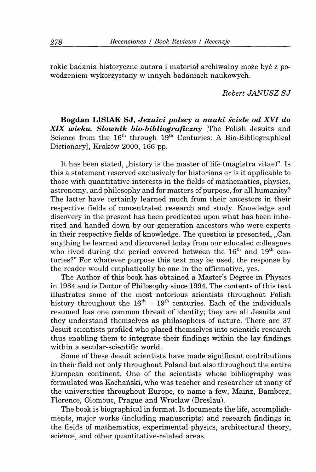rokie badania historyczne autora i material archiwalny moze byc z powodzeniem wykorzystany w innych badaniach naukowych.

*Robert JANUSZ SJ* 

**Bogdan LISIAK SJ,** *Jezuici polscy a nauki scisle od XVI do XIX wieku, Slownik bio-bibliograficzny* [The Polish Jesuits and Science from the  $16^{\text{th}}$  through  $19^{\text{th}}$  Centuries: A Bio-Bibliographical Dictionary], Kraków 2000, 166 pp.

It has been stated, "history is the master of life (magistra vitae)". Is this a statement reserved exclusively for historians or is it applicable to those with quantitative interests in the fields of mathematics, physics, astronomy, and philosophy and for matters of purpose, for all humanity? The latter have certainly learned much from their ancestors in their respective fields of concentrated research and study. Knowledge and discovery in the present has been predicated upon what has been inherited and handed down by our generation ancestors who were experts in their respective fields of knowledge. The question is presented, "Can anything be learned and discovered today from our educated colleagues who lived during the period covered between the  $16^{\text{th}}$  and  $19^{\text{th}}$  centuries?" For whatever purpose this text may be used, the response by the reader would emphatically be one in the affirmative, yes.

The Author of this book has obtained a Master's Degree in Physics in 1984 and is Doctor of Philosophy since 1994. The contents of this text illustrates some of the most notorious scientists throughout Polish history throughout the  $16^{th} - 19^{th}$  centuries. Each of the individuals resumed has one common thread of identity; they are all Jesuits and they understand themselves as philosophers of nature. There are 37 Jesuit scientists profiled who placed themselves into scientific research thus enabling them to integrate their findings within the lay findings within a secular-scientific world.

Some of these Jesuit scientists have made significant contributions in their field not only throughout Poland but also throughout the entire European continent. One of the scientists whose bibliography was formulated was Kochański, who was teacher and researcher at many of the universities throughout Europe, to name a few, Mainz, Bamberg, Florence, Olomouc, Prague and Wroclaw (Breslau).

The book is biographical in format. It documents the life, accomplishments, major works (including manuscripts) and research findings in the fields of mathematics, experimental physics, architectural theory, science, and other quantitative-related areas.